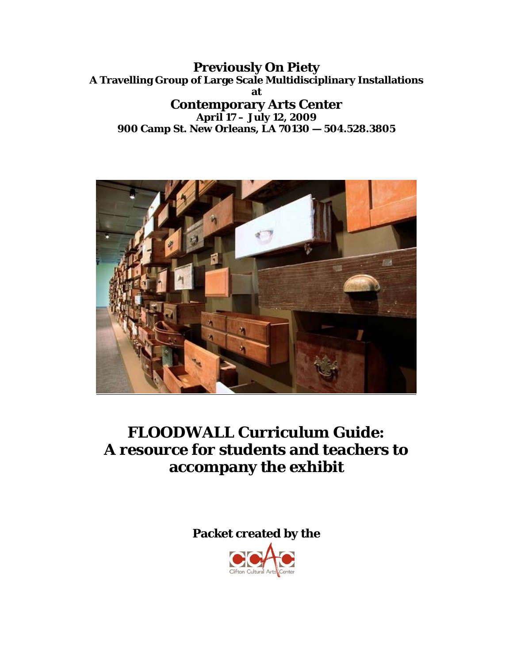**Previously On Piety A Travelling Group of Large Scale Multidisciplinary Installations at Contemporary Arts Center April 17 – July 12, 2009** 

**900 Camp St. New Orleans, LA 70130 — 504.528.3805** 



# **FLOODWALL Curriculum Guide: A resource for students and teachers to accompany the exhibit**

**Packet created by the** 

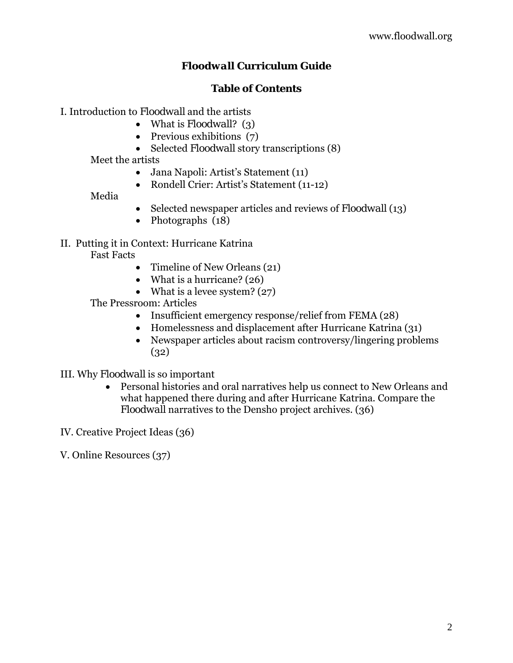## *Floodwall* **Curriculum Guide**

## **Table of Contents**

I. Introduction to *Floodwall* and the artists

- What is *Floodwall*? (3)
- Previous exhibitions (7)
- Selected *Floodwall* story transcriptions (8)

Meet the artists

- Jana Napoli: Artist's Statement (11)
- Rondell Crier: Artist's Statement (11-12)

Media

- Selected newspaper articles and reviews of *Floodwall* (13)
- Photographs (18)

### II. Putting it in Context: Hurricane Katrina

Fast Facts

- Timeline of New Orleans (21)
- What is a hurricane? (26)
- What is a levee system? (27)

### The Pressroom: Articles

- Insufficient emergency response/relief from FEMA (28)
- Homelessness and displacement after Hurricane Katrina (31)
- Newspaper articles about racism controversy/lingering problems  $(32)$

### III. Why *Floodwall* is so important

• Personal histories and oral narratives help us connect to New Orleans and what happened there during and after Hurricane Katrina. Compare the *Floodwall* narratives to the Densho project archives. (36)

IV. Creative Project Ideas (36)

V. Online Resources (37)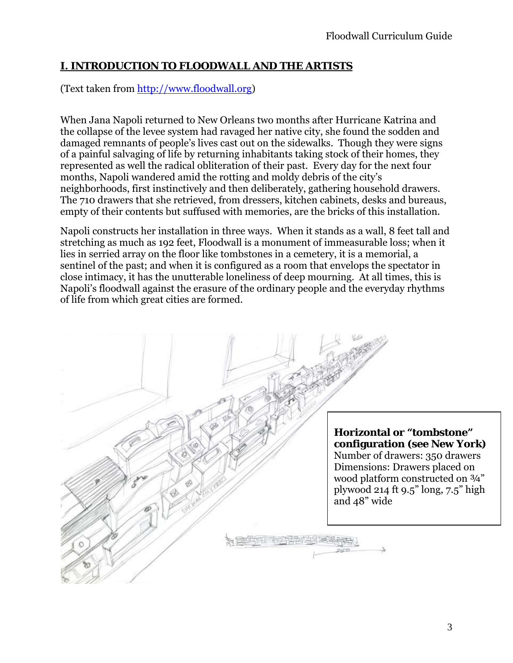## **I. INTRODUCTION TO** *FLOODWALL* **AND THE ARTISTS**

(Text taken from [http://www.floodwall.org\)](http://www.floodwall.org/)

When Jana Napoli returned to New Orleans two months after Hurricane Katrina and the collapse of the levee system had ravaged her native city, she found the sodden and damaged remnants of people's lives cast out on the sidewalks. Though they were signs of a painful salvaging of life by returning inhabitants taking stock of their homes, they represented as well the radical obliteration of their past. Every day for the next four months, Napoli wandered amid the rotting and moldy debris of the city's neighborhoods, first instinctively and then deliberately, gathering household drawers. The 710 drawers that she retrieved, from dressers, kitchen cabinets, desks and bureaus, empty of their contents but suffused with memories, are the bricks of this installation.

Napoli constructs her installation in three ways. When it stands as a wall, 8 feet tall and stretching as much as 192 feet, Floodwall is a monument of immeasurable loss; when it lies in serried array on the floor like tombstones in a cemetery, it is a memorial, a sentinel of the past; and when it is configured as a room that envelops the spectator in close intimacy, it has the unutterable loneliness of deep mourning. At all times, this is Napoli's floodwall against the erasure of the ordinary people and the everyday rhythms of life from which great cities are formed.

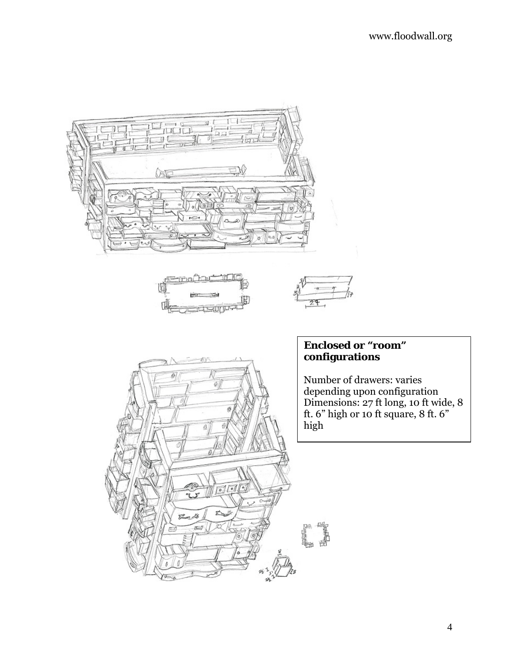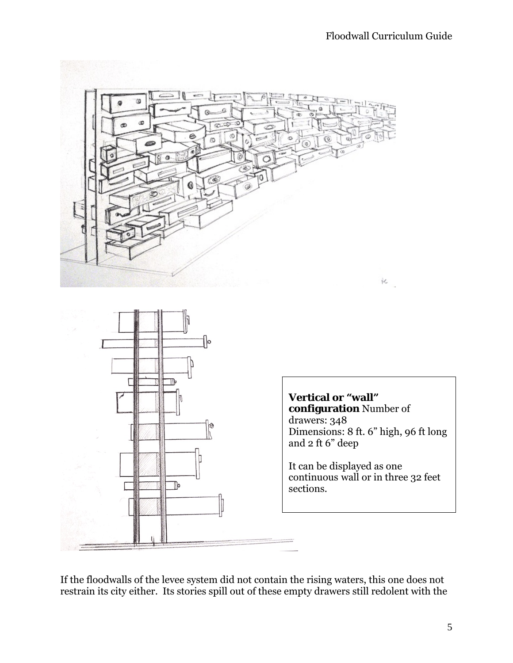Floodwall Curriculum Guide



If the floodwalls of the levee system did not contain the rising waters, this one does not restrain its city either. Its stories spill out of these empty drawers still redolent with the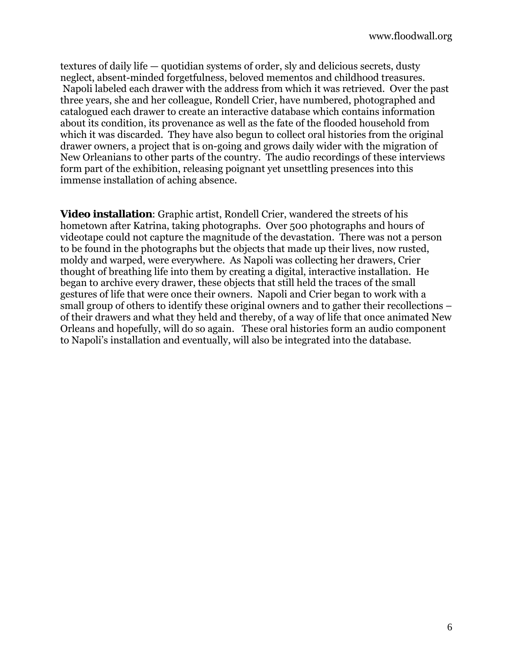textures of daily life — quotidian systems of order, sly and delicious secrets, dusty neglect, absent-minded forgetfulness, beloved mementos and childhood treasures. Napoli labeled each drawer with the address from which it was retrieved. Over the past three years, she and her colleague, Rondell Crier, have numbered, photographed and catalogued each drawer to create an interactive [database](http://www.floodwall.org/70002.html) which contains information about its condition, its provenance as well as the fate of the flooded household from which it was discarded. They have also begun to collect oral histories from the original drawer owners, a project that is on-going and grows daily wider with the migration of New Orleanians to other parts of the country. The [audio recordings](http://www.floodwall.org/drawers_stories.html) of these interviews form part of the exhibition, releasing poignant yet unsettling presences into this immense installation of aching absence.

**Video installation**: Graphic artist, Rondell Crier, wandered the streets of his hometown after Katrina, taking photographs. Over 500 photographs and hours of videotape could not capture the magnitude of the devastation. There was not a person to be found in the photographs but the objects that made up their lives, now rusted, moldy and warped, were everywhere. As Napoli was collecting her drawers, Crier thought of breathing life into them by creating a digital, interactive installation. He began to archive every drawer, these objects that still held the traces of the small gestures of life that were once their owners. Napoli and Crier began to work with a small group of others to identify these original owners and to gather their recollections – of their drawers and what they held and thereby, of a way of life that once animated New Orleans and hopefully, will do so again. These oral histories form an audio component to Napoli's installation and eventually, will also be integrated into the database.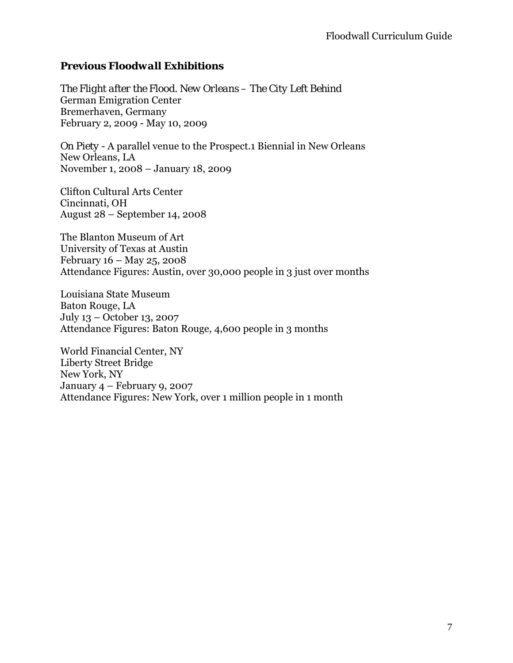## **Previous** *Floodwall* **Exhibitions**

*The Flight after the Flood. New Orleans – The City Left Behind*  German Emigration Center Bremerhaven, Germany February 2, 2009 - May 10, 2009

*On Piety* - A parallel venue to the Prospect.1 Biennial in New Orleans New Orleans, LA November 1, 2008 – January 18, 2009

Clifton Cultural Arts Center Cincinnati, OH August 28 – September 14, 2008

The Blanton Museum of Art University of Texas at Austin February 16 – May 25, 2008 Attendance Figures: Austin, over 30,000 people in 3 just over months

Louisiana State Museum Baton Rouge, LA July 13 – October 13, 2007 Attendance Figures: Baton Rouge, 4,600 people in 3 months

World Financial Center, NY Liberty Street Bridge New York, NY January 4 – February 9, 2007 Attendance Figures: New York, over 1 million people in 1 month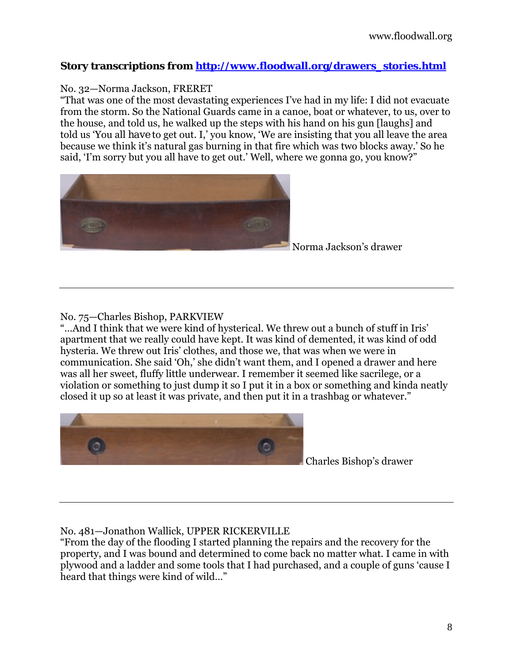## **Story transcriptions from [http://www.floodwall.org/drawers\\_stories.html](http://www.floodwall.org/drawers_stories.html)**

### No. 32—Norma Jackson, FRERET

"That was one of the most devastating experiences I've had in my life: I did not evacuate from the storm. So the National Guards came in a canoe, boat or whatever, to us, over to the house, and told us, he walked up the steps with his hand on his gun [laughs] and told us 'You all *have* to get out. I,' you know, 'We are insisting that you all leave the area because we think it's natural gas burning in that fire which was two blocks away.' So he said, 'I'm sorry but you all have to get out.' Well, where we gonna go, you know?"



Norma Jackson's drawer

## No. 75—Charles Bishop, PARKVIEW

"…And I think that we were kind of hysterical. We threw out a bunch of stuff in Iris' apartment that we really could have kept. It was kind of demented, it was kind of odd hysteria. We threw out Iris' clothes, and those we, that was when we were in communication. She said 'Oh,' she didn't want them, and I opened a drawer and here was all her sweet, fluffy little underwear. I remember it seemed like sacrilege, or a violation or something to just dump it so I put it in a box or something and kinda neatly closed it up so at least it was private, and then put it in a trashbag or whatever."



Charles Bishop's drawer

No. 481—Jonathon Wallick, UPPER RICKERVILLE

"From the day of the flooding I started planning the repairs and the recovery for the property, and I was bound and determined to come back no matter what. I came in with plywood and a ladder and some tools that I had purchased, and a couple of guns 'cause I heard that things were kind of wild…"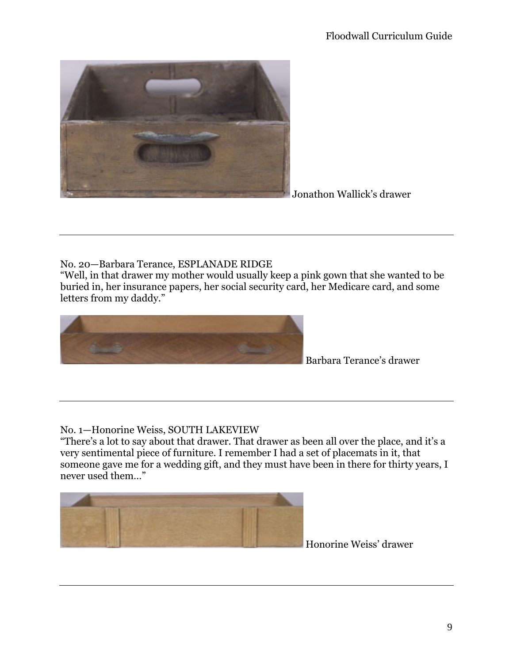

Jonathon Wallick's drawer

No. 20—Barbara Terance, ESPLANADE RIDGE

"Well, in that drawer my mother would usually keep a pink gown that she wanted to be buried in, her insurance papers, her social security card, her Medicare card, and some letters from my daddy."



Barbara Terance's drawer

No. 1—Honorine Weiss, SOUTH LAKEVIEW

"There's a lot to say about that drawer. That drawer as been all over the place, and it's a very sentimental piece of furniture. I remember I had a set of placemats in it, that someone gave me for a wedding gift, and they must have been in there for thirty years, I never used them…"



Honorine Weiss' drawer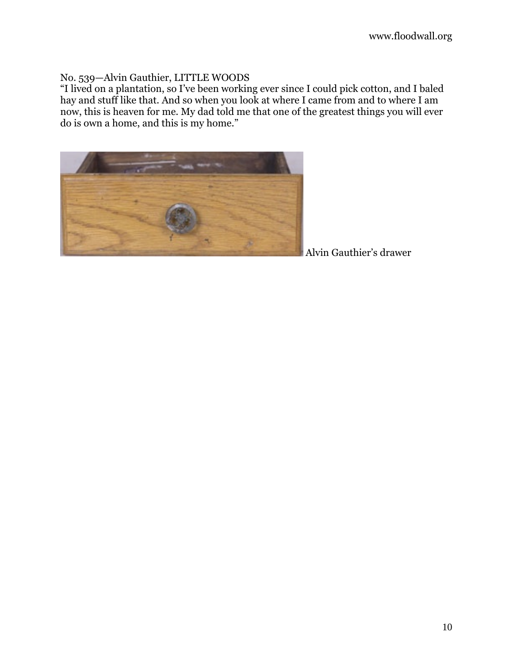## No. 539—Alvin Gauthier, LITTLE WOODS

"I lived on a plantation, so I've been working ever since I could pick cotton, and I baled hay and stuff like that. And so when you look at where I came from and to where I am now, this is heaven for me. My dad told me that one of the greatest things you will ever do is own a home, and this is my home."



Alvin Gauthier's drawer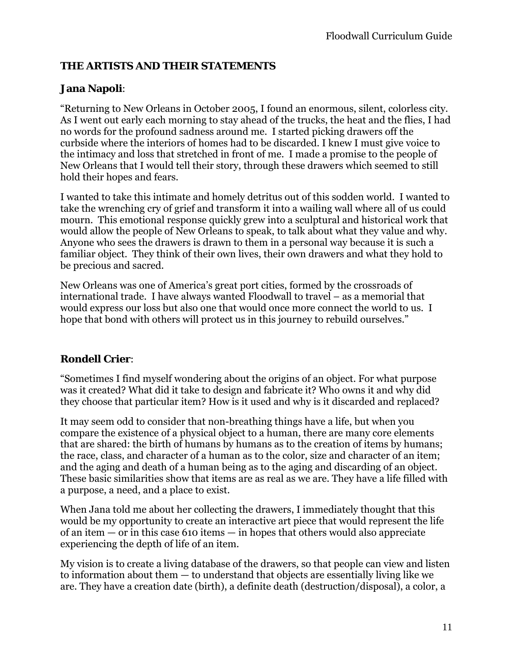## **THE ARTISTS AND THEIR STATEMENTS**

## **Jana Napoli**:

"Returning to New Orleans in October 2005, I found an enormous, silent, colorless city. As I went out early each morning to stay ahead of the trucks, the heat and the flies, I had no words for the profound sadness around me. I started picking drawers off the curbside where the interiors of homes had to be discarded. I knew I must give voice to the intimacy and loss that stretched in front of me. I made a promise to the people of New Orleans that I would tell their story, through these drawers which seemed to still hold their hopes and fears.

I wanted to take this intimate and homely detritus out of this sodden world. I wanted to take the wrenching cry of grief and transform it into a wailing wall where all of us could mourn. This emotional response quickly grew into a sculptural and historical work that would allow the people of New Orleans to speak, to talk about what they value and why. Anyone who sees the drawers is drawn to them in a personal way because it is such a familiar object. They think of their own lives, their own drawers and what they hold to be precious and sacred.

New Orleans was one of America's great port cities, formed by the crossroads of international trade. I have always wanted Floodwall to travel – as a memorial that would express our loss but also one that would once more connect the world to us. I hope that bond with others will protect us in this journey to rebuild ourselves."

## **Rondell Crier**:

"Sometimes I find myself wondering about the origins of an object. For what purpose was it created? What did it take to design and fabricate it? Who owns it and why did they choose that particular item? How is it used and why is it discarded and replaced?

It may seem odd to consider that non-breathing things have a life, but when you compare the existence of a physical object to a human, there are many core elements that are shared: the birth of humans by humans as to the creation of items by humans; the race, class, and character of a human as to the color, size and character of an item; and the aging and death of a human being as to the aging and discarding of an object. These basic similarities show that items are as real as we are. They have a life filled with a purpose, a need, and a place to exist.

When Jana told me about her collecting the drawers, I immediately thought that this would be my opportunity to create an interactive art piece that would represent the life of an item  $-$  or in this case 610 items  $-$  in hopes that others would also appreciate experiencing the depth of life of an item.

My vision is to create a living database of the drawers, so that people can view and listen to information about them — to understand that objects are essentially living like we are. They have a creation date (birth), a definite death (destruction/disposal), a color, a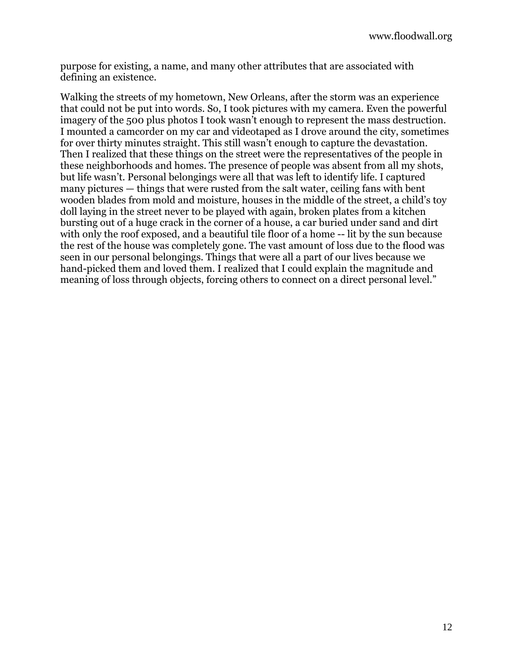purpose for existing, a name, and many other attributes that are associated with defining an existence.

Walking the streets of my hometown, New Orleans, after the storm was an experience that could not be put into words. So, I took pictures with my camera. Even the powerful imagery of the 500 plus photos I took wasn't enough to represent the mass destruction. I mounted a camcorder on my car and videotaped as I drove around the city, sometimes for over thirty minutes straight. This still wasn't enough to capture the devastation. Then I realized that these things on the street were the representatives of the people in these neighborhoods and homes. The presence of people was absent from all my shots, but life wasn't. Personal belongings were all that was left to identify life. I captured many pictures — things that were rusted from the salt water, ceiling fans with bent wooden blades from mold and moisture, houses in the middle of the street, a child's toy doll laying in the street never to be played with again, broken plates from a kitchen bursting out of a huge crack in the corner of a house, a car buried under sand and dirt with only the roof exposed, and a beautiful tile floor of a home -- lit by the sun because the rest of the house was completely gone. The vast amount of loss due to the flood was seen in our personal belongings. Things that were all a part of our lives because we hand-picked them and loved them. I realized that I could explain the magnitude and meaning of loss through objects, forcing others to connect on a direct personal level."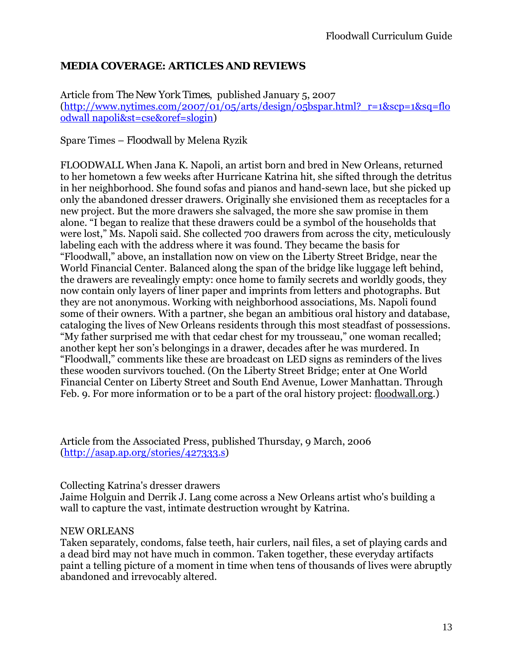## **MEDIA COVERAGE: ARTICLES AND REVIEWS**

Article from *The New York Times*, published January 5, 2007  $(\text{http://www.nytimes.com/2007/01/05/arts/design/o5bspar.html? r=1&scp=1&sq=flo$ [odwall napoli&st=cse&oref=slogin\)](http://www.nytimes.com/2007/01/05/arts/design/05bspar.html?_r=1&scp=1&sq=floodwall%20napoli&st=cse&oref=slogin)

Spare Times – *Floodwall* by Melena Ryzik

FLOODWALL When Jana K. Napoli, an artist born and bred in New Orleans, returned to her hometown a few weeks after Hurricane Katrina hit, she sifted through the detritus in her neighborhood. She found sofas and pianos and hand-sewn lace, but she picked up only the abandoned dresser drawers. Originally she envisioned them as receptacles for a new project. But the more drawers she salvaged, the more she saw promise in them alone. "I began to realize that these drawers could be a symbol of the households that were lost," Ms. Napoli said. She collected 700 drawers from across the city, meticulously labeling each with the address where it was found. They became the basis for "Floodwall," above, an installation now on view on the Liberty Street Bridge, near the World Financial Center. Balanced along the span of the bridge like luggage left behind, the drawers are revealingly empty: once home to family secrets and worldly goods, they now contain only layers of liner paper and imprints from letters and photographs. But they are not anonymous. Working with neighborhood associations, Ms. Napoli found some of their owners. With a partner, she began an ambitious oral history and database, cataloging the lives of New Orleans residents through this most steadfast of possessions. "My father surprised me with that cedar chest for my trousseau," one woman recalled; another kept her son's belongings in a drawer, decades after he was murdered. In "Floodwall," comments like these are broadcast on LED signs as reminders of the lives these wooden survivors touched. (On the Liberty Street Bridge; enter at One World Financial Center on Liberty Street and South End Avenue, Lower Manhattan. Through Feb. 9. For more information or to be a part of the oral history project: [floodwall.org.](http://floodwall.org/))

Article from the Associated Press, published Thursday, 9 March, 2006 [\(http://asap.ap.org/stories/427333.s\)](http://asap.ap.org/stories/427333.s)

Collecting Katrina's dresser drawers

Jaime Holguin and Derrik J. Lang come across a New Orleans artist who's building a wall to capture the vast, intimate destruction wrought by Katrina.

### NEW ORLEANS

Taken separately, condoms, false teeth, hair curlers, nail files, a set of playing cards and a dead bird may not have much in common. Taken together, these everyday artifacts paint a telling picture of a moment in time when tens of thousands of lives were abruptly abandoned and irrevocably altered.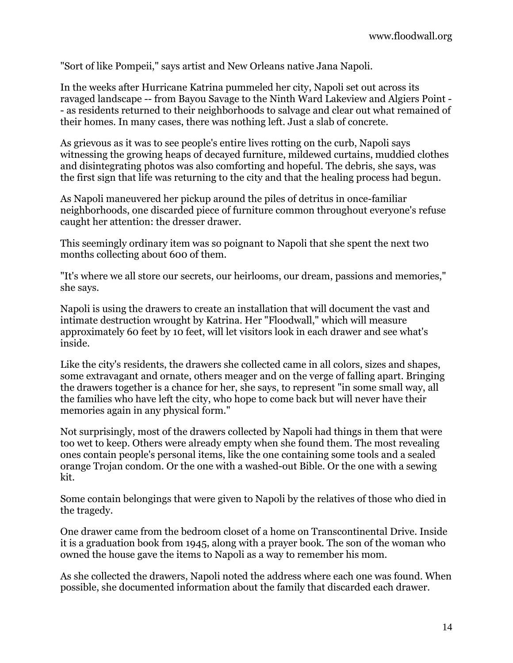"Sort of like Pompeii," says artist and New Orleans native Jana Napoli.

In the weeks after Hurricane Katrina pummeled her city, Napoli set out across its ravaged landscape -- from Bayou Savage to the Ninth Ward Lakeview and Algiers Point - - as residents returned to their neighborhoods to salvage and clear out what remained of their homes. In many cases, there was nothing left. Just a slab of concrete.

As grievous as it was to see people's entire lives rotting on the curb, Napoli says witnessing the growing heaps of decayed furniture, mildewed curtains, muddied clothes and disintegrating photos was also comforting and hopeful. The debris, she says, was the first sign that life was returning to the city and that the healing process had begun.

As Napoli maneuvered her pickup around the piles of detritus in once-familiar neighborhoods, one discarded piece of furniture common throughout everyone's refuse caught her attention: the dresser drawer.

This seemingly ordinary item was so poignant to Napoli that she spent the next two months collecting about 600 of them.

"It's where we all store our secrets, our heirlooms, our dream, passions and memories," she says.

Napoli is using the drawers to create an installation that will document the vast and intimate destruction wrought by Katrina. Her "Floodwall," which will measure approximately 60 feet by 10 feet, will let visitors look in each drawer and see what's inside.

Like the city's residents, the drawers she collected came in all colors, sizes and shapes, some extravagant and ornate, others meager and on the verge of falling apart. Bringing the drawers together is a chance for her, she says, to represent "in some small way, all the families who have left the city, who hope to come back but will never have their memories again in any physical form."

Not surprisingly, most of the drawers collected by Napoli had things in them that were too wet to keep. Others were already empty when she found them. The most revealing ones contain people's personal items, like the one containing some tools and a sealed orange Trojan condom. Or the one with a washed-out Bible. Or the one with a sewing kit.

Some contain belongings that were given to Napoli by the relatives of those who died in the tragedy.

One drawer came from the bedroom closet of a home on Transcontinental Drive. Inside it is a graduation book from 1945, along with a prayer book. The son of the woman who owned the house gave the items to Napoli as a way to remember his mom.

As she collected the drawers, Napoli noted the address where each one was found. When possible, she documented information about the family that discarded each drawer.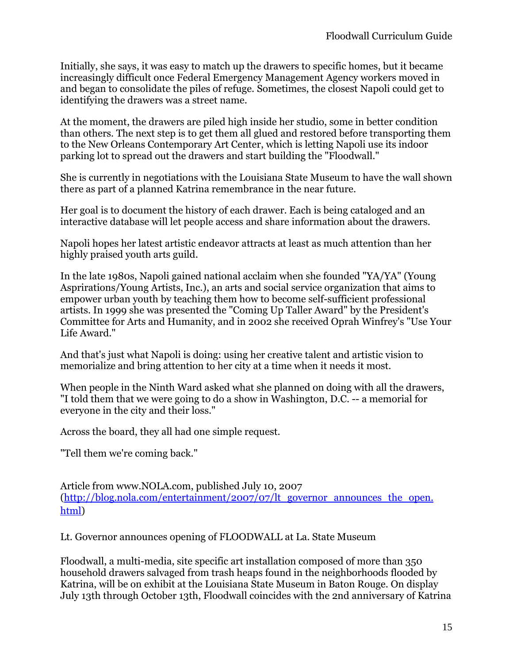Initially, she says, it was easy to match up the drawers to specific homes, but it became increasingly difficult once Federal Emergency Management Agency workers moved in and began to consolidate the piles of refuge. Sometimes, the closest Napoli could get to identifying the drawers was a street name.

At the moment, the drawers are piled high inside her studio, some in better condition than others. The next step is to get them all glued and restored before transporting them to the New Orleans Contemporary Art Center, which is letting Napoli use its indoor parking lot to spread out the drawers and start building the "Floodwall."

She is currently in negotiations with the Louisiana State Museum to have the wall shown there as part of a planned Katrina remembrance in the near future.

Her goal is to document the history of each drawer. Each is being cataloged and an interactive database will let people access and share information about the drawers.

Napoli hopes her latest artistic endeavor attracts at least as much attention than her highly praised youth arts guild.

In the late 1980s, Napoli gained national acclaim when she founded "YA/YA" (Young Asprirations/Young Artists, Inc.), an arts and social service organization that aims to empower urban youth by teaching them how to become self-sufficient professional artists. In 1999 she was presented the "Coming Up Taller Award" by the President's Committee for Arts and Humanity, and in 2002 she received Oprah Winfrey's "Use Your Life Award."

And that's just what Napoli is doing: using her creative talent and artistic vision to memorialize and bring attention to her city at a time when it needs it most.

When people in the Ninth Ward asked what she planned on doing with all the drawers, "I told them that we were going to do a show in Washington, D.C. -- a memorial for everyone in the city and their loss."

Across the board, they all had one simple request.

"Tell them we're coming back."

Article from www.NOLA.com, published July 10, 2007 [\(http://blog.nola.com/entertainment/2007/07/lt\\_governor\\_announces\\_the\\_open.](http://blog.nola.com/entertainment/2007/07/lt_governor_announces_the_open.%20html) [html](http://blog.nola.com/entertainment/2007/07/lt_governor_announces_the_open.%20html))

Lt. Governor announces opening of FLOODWALL at La. State Museum

Floodwall, a multi-media, site specific art installation composed of more than 350 household drawers salvaged from trash heaps found in the neighborhoods flooded by Katrina, will be on exhibit at the Louisiana State Museum in Baton Rouge. On display July 13th through October 13th, Floodwall coincides with the 2nd anniversary of Katrina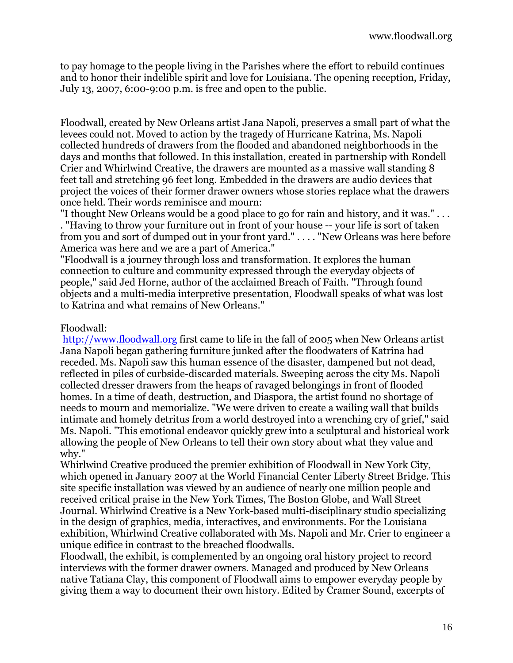to pay homage to the people living in the Parishes where the effort to rebuild continues and to honor their indelible spirit and love for Louisiana. The opening reception, Friday, July 13, 2007, 6:00-9:00 p.m. is free and open to the public.

Floodwall, created by New Orleans artist Jana Napoli, preserves a small part of what the levees could not. Moved to action by the tragedy of Hurricane Katrina, Ms. Napoli collected hundreds of drawers from the flooded and abandoned neighborhoods in the days and months that followed. In this installation, created in partnership with Rondell Crier and Whirlwind Creative, the drawers are mounted as a massive wall standing 8 feet tall and stretching 96 feet long. Embedded in the drawers are audio devices that project the voices of their former drawer owners whose stories replace what the drawers once held. Their words reminisce and mourn:

"I thought New Orleans would be a good place to go for rain and history, and it was." . . . . "Having to throw your furniture out in front of your house -- your life is sort of taken from you and sort of dumped out in your front yard." . . . . "New Orleans was here before America was here and we are a part of America."

"Floodwall is a journey through loss and transformation. It explores the human connection to culture and community expressed through the everyday objects of people," said Jed Horne, author of the acclaimed Breach of Faith. "Through found objects and a multi-media interpretive presentation, Floodwall speaks of what was lost to Katrina and what remains of New Orleans."

## Floodwall:

[http://www.floodwall.org](http://www.floodwall.org/) first came to life in the fall of 2005 when New Orleans artist Jana Napoli began gathering furniture junked after the floodwaters of Katrina had receded. Ms. Napoli saw this human essence of the disaster, dampened but not dead, reflected in piles of curbside-discarded materials. Sweeping across the city Ms. Napoli collected dresser drawers from the heaps of ravaged belongings in front of flooded homes. In a time of death, destruction, and Diaspora, the artist found no shortage of needs to mourn and memorialize. "We were driven to create a wailing wall that builds intimate and homely detritus from a world destroyed into a wrenching cry of grief," said Ms. Napoli. "This emotional endeavor quickly grew into a sculptural and historical work allowing the people of New Orleans to tell their own story about what they value and why."

Whirlwind Creative produced the premier exhibition of Floodwall in New York City, which opened in January 2007 at the World Financial Center Liberty Street Bridge. This site specific installation was viewed by an audience of nearly one million people and received critical praise in the New York Times, The Boston Globe, and Wall Street Journal. Whirlwind Creative is a New York-based multi-disciplinary studio specializing in the design of graphics, media, interactives, and environments. For the Louisiana exhibition, Whirlwind Creative collaborated with Ms. Napoli and Mr. Crier to engineer a unique edifice in contrast to the breached floodwalls.

Floodwall, the exhibit, is complemented by an ongoing oral history project to record interviews with the former drawer owners. Managed and produced by New Orleans native Tatiana Clay, this component of Floodwall aims to empower everyday people by giving them a way to document their own history. Edited by Cramer Sound, excerpts of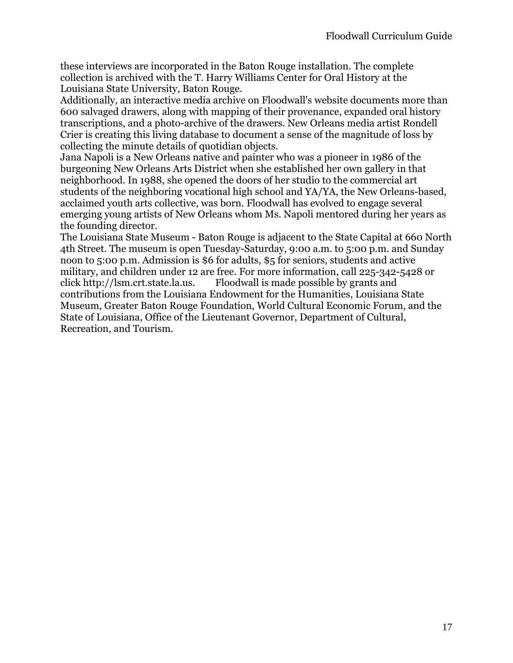these interviews are incorporated in the Baton Rouge installation. The complete collection is archived with the T. Harry Williams Center for Oral History at the Louisiana State University, Baton Rouge.

Additionally, an interactive media archive on Floodwall's website documents more than 600 salvaged drawers, along with mapping of their provenance, expanded oral history transcriptions, and a photo-archive of the drawers. New Orleans media artist Rondell Crier is creating this living database to document a sense of the magnitude of loss by collecting the minute details of quotidian objects.

Jana Napoli is a New Orleans native and painter who was a pioneer in 1986 of the burgeoning New Orleans Arts District when she established her own gallery in that neighborhood. In 1988, she opened the doors of her studio to the commercial art students of the neighboring vocational high school and YA/YA, the New Orleans-based, acclaimed youth arts collective, was born. Floodwall has evolved to engage several emerging young artists of New Orleans whom Ms. Napoli mentored during her years as the founding director.

The Louisiana State Museum - Baton Rouge is adjacent to the State Capital at 660 North 4th Street. The museum is open Tuesday-Saturday, 9:00 a.m. to 5:00 p.m. and Sunday noon to 5:00 p.m. Admission is \$6 for adults, \$5 for seniors, students and active military, and children under 12 are free. For more information, call 225-342-5428 or click http://lsm.crt.state.la.us. Floodwall is made possible by grants and contributions from the Louisiana Endowment for the Humanities, Louisiana State Museum, Greater Baton Rouge Foundation, World Cultural Economic Forum, and the State of Louisiana, Office of the Lieutenant Governor, Department of Cultural, Recreation, and Tourism.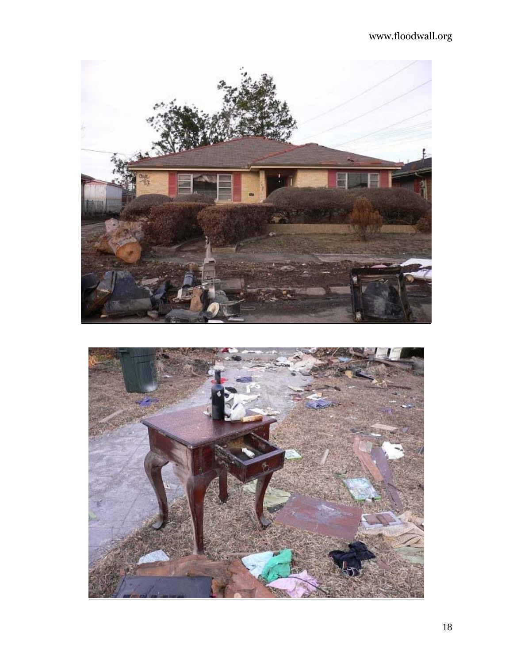# www.floodwall.org



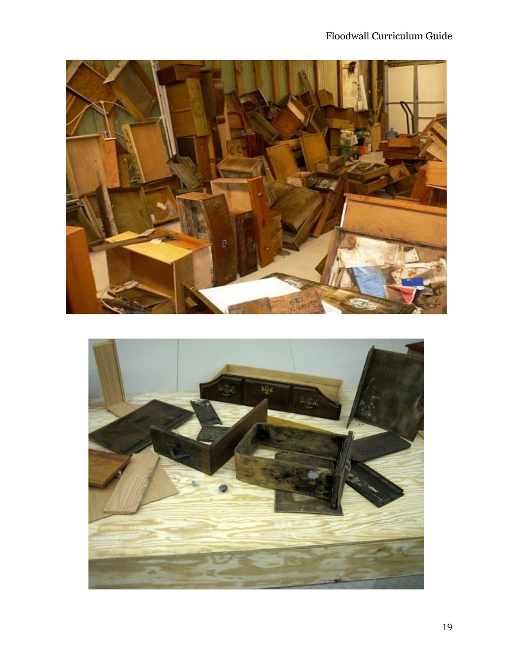

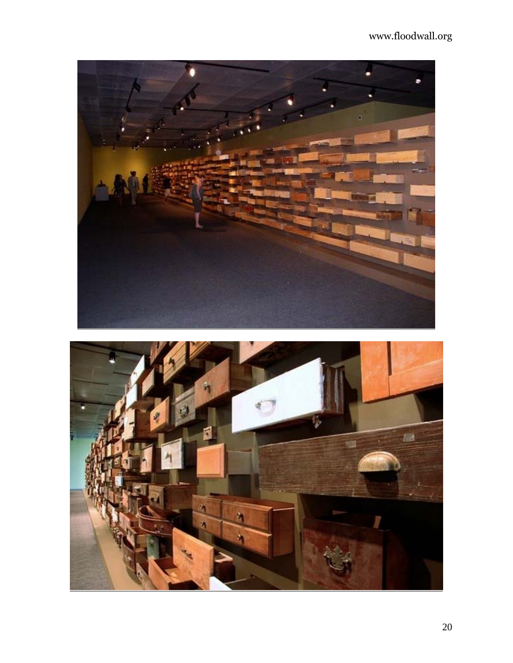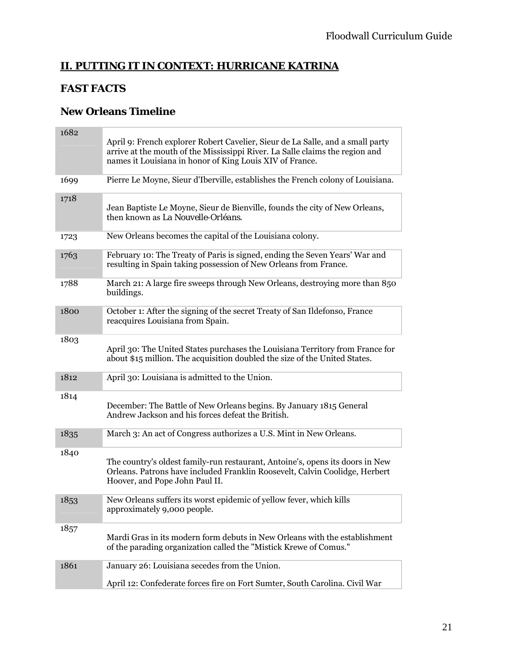## **II. PUTTING IT IN CONTEXT: HURRICANE KATRINA**

## **FAST FACTS**

## **New Orleans Timeline**

| 1682 | April 9: French explorer Robert Cavelier, Sieur de La Salle, and a small party<br>arrive at the mouth of the Mississippi River. La Salle claims the region and<br>names it Louisiana in honor of King Louis XIV of France. |
|------|----------------------------------------------------------------------------------------------------------------------------------------------------------------------------------------------------------------------------|
| 1699 | Pierre Le Moyne, Sieur d'Iberville, establishes the French colony of Louisiana.                                                                                                                                            |
| 1718 | Jean Baptiste Le Moyne, Sieur de Bienville, founds the city of New Orleans,<br>then known as La Nouvelle-Orléans.                                                                                                          |
| 1723 | New Orleans becomes the capital of the Louisiana colony.                                                                                                                                                                   |
| 1763 | February 10: The Treaty of Paris is signed, ending the Seven Years' War and<br>resulting in Spain taking possession of New Orleans from France.                                                                            |
| 1788 | March 21: A large fire sweeps through New Orleans, destroying more than 850<br>buildings.                                                                                                                                  |
| 1800 | October 1: After the signing of the secret Treaty of San Ildefonso, France<br>reacquires Louisiana from Spain.                                                                                                             |
| 1803 | April 30: The United States purchases the Louisiana Territory from France for<br>about \$15 million. The acquisition doubled the size of the United States.                                                                |
| 1812 | April 30: Louisiana is admitted to the Union.                                                                                                                                                                              |
| 1814 | December: The Battle of New Orleans begins. By January 1815 General<br>Andrew Jackson and his forces defeat the British.                                                                                                   |
| 1835 | March 3: An act of Congress authorizes a U.S. Mint in New Orleans.                                                                                                                                                         |
| 1840 | The country's oldest family-run restaurant, Antoine's, opens its doors in New<br>Orleans. Patrons have included Franklin Roosevelt, Calvin Coolidge, Herbert<br>Hoover, and Pope John Paul II.                             |
| 1853 | New Orleans suffers its worst epidemic of yellow fever, which kills<br>approximately 9,000 people.                                                                                                                         |
| 1857 | Mardi Gras in its modern form debuts in New Orleans with the establishment<br>of the parading organization called the "Mistick Krewe of Comus."                                                                            |
| 1861 | January 26: Louisiana secedes from the Union.<br>April 12: Confederate forces fire on Fort Sumter, South Carolina. Civil War                                                                                               |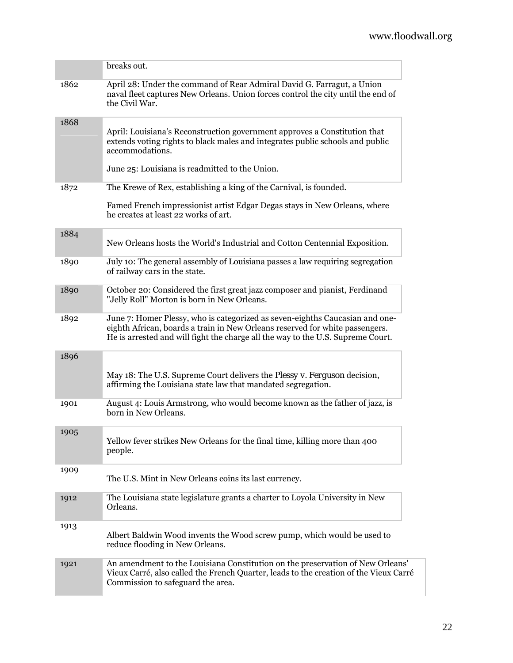|      | breaks out.                                                                                                                                                                                                                                     |
|------|-------------------------------------------------------------------------------------------------------------------------------------------------------------------------------------------------------------------------------------------------|
| 1862 | April 28: Under the command of Rear Admiral David G. Farragut, a Union<br>naval fleet captures New Orleans. Union forces control the city until the end of<br>the Civil War.                                                                    |
| 1868 | April: Louisiana's Reconstruction government approves a Constitution that<br>extends voting rights to black males and integrates public schools and public<br>accommodations.<br>June 25: Louisiana is readmitted to the Union.                 |
| 1872 | The Krewe of Rex, establishing a king of the Carnival, is founded.                                                                                                                                                                              |
|      | Famed French impressionist artist Edgar Degas stays in New Orleans, where<br>he creates at least 22 works of art.                                                                                                                               |
| 1884 | New Orleans hosts the World's Industrial and Cotton Centennial Exposition.                                                                                                                                                                      |
|      |                                                                                                                                                                                                                                                 |
| 1890 | July 10: The general assembly of Louisiana passes a law requiring segregation<br>of railway cars in the state.                                                                                                                                  |
| 1890 | October 20: Considered the first great jazz composer and pianist, Ferdinand<br>"Jelly Roll" Morton is born in New Orleans.                                                                                                                      |
| 1892 | June 7: Homer Plessy, who is categorized as seven-eighths Caucasian and one-<br>eighth African, boards a train in New Orleans reserved for white passengers.<br>He is arrested and will fight the charge all the way to the U.S. Supreme Court. |
| 1896 |                                                                                                                                                                                                                                                 |
|      | May 18: The U.S. Supreme Court delivers the <i>Plessy v. Ferguson</i> decision,<br>affirming the Louisiana state law that mandated segregation.                                                                                                 |
| 1901 | August 4: Louis Armstrong, who would become known as the father of jazz, is<br>born in New Orleans.                                                                                                                                             |
| 1905 | Yellow fever strikes New Orleans for the final time, killing more than 400<br>people.                                                                                                                                                           |
| 1909 | The U.S. Mint in New Orleans coins its last currency.                                                                                                                                                                                           |
| 1912 | The Louisiana state legislature grants a charter to Loyola University in New<br>Orleans.                                                                                                                                                        |
| 1913 | Albert Baldwin Wood invents the Wood screw pump, which would be used to<br>reduce flooding in New Orleans.                                                                                                                                      |
| 1921 | An amendment to the Louisiana Constitution on the preservation of New Orleans'<br>Vieux Carré, also called the French Quarter, leads to the creation of the Vieux Carré<br>Commission to safeguard the area.                                    |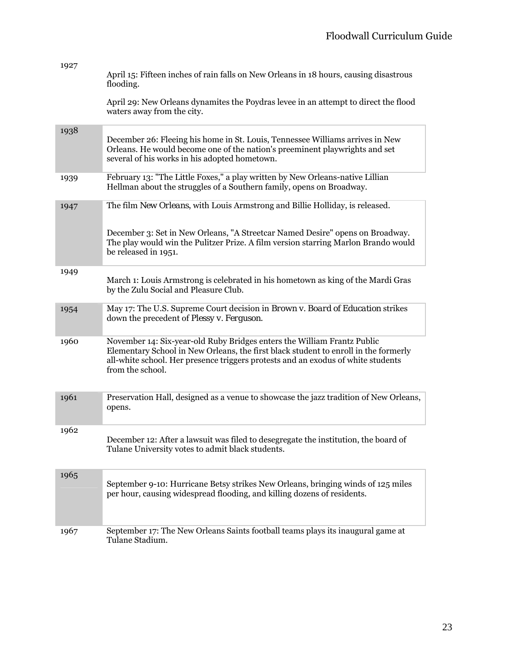| 1927 | April 15: Fifteen inches of rain falls on New Orleans in 18 hours, causing disastrous<br>flooding.<br>April 29: New Orleans dynamites the Poydras levee in an attempt to direct the flood<br>waters away from the city.                                                     |
|------|-----------------------------------------------------------------------------------------------------------------------------------------------------------------------------------------------------------------------------------------------------------------------------|
| 1938 | December 26: Fleeing his home in St. Louis, Tennessee Williams arrives in New<br>Orleans. He would become one of the nation's preeminent playwrights and set<br>several of his works in his adopted hometown.                                                               |
| 1939 | February 13: "The Little Foxes," a play written by New Orleans-native Lillian<br>Hellman about the struggles of a Southern family, opens on Broadway.                                                                                                                       |
| 1947 | The film New Orleans, with Louis Armstrong and Billie Holliday, is released.<br>December 3: Set in New Orleans, "A Streetcar Named Desire" opens on Broadway.<br>The play would win the Pulitzer Prize. A film version starring Marlon Brando would<br>be released in 1951. |
| 1949 | March 1: Louis Armstrong is celebrated in his hometown as king of the Mardi Gras<br>by the Zulu Social and Pleasure Club.                                                                                                                                                   |
| 1954 | May 17: The U.S. Supreme Court decision in <i>Brown v. Board of Education</i> strikes<br>down the precedent of <i>Plessy v. Ferguson</i> .                                                                                                                                  |
| 1960 | November 14: Six-year-old Ruby Bridges enters the William Frantz Public<br>Elementary School in New Orleans, the first black student to enroll in the formerly<br>all-white school. Her presence triggers protests and an exodus of white students<br>from the school.      |
| 1961 | Preservation Hall, designed as a venue to showcase the jazz tradition of New Orleans,<br>opens.                                                                                                                                                                             |
| 1962 | December 12: After a lawsuit was filed to desegregate the institution, the board of<br>Tulane University votes to admit black students.                                                                                                                                     |
| 1965 | September 9-10: Hurricane Betsy strikes New Orleans, bringing winds of 125 miles<br>per hour, causing widespread flooding, and killing dozens of residents.                                                                                                                 |
| 1967 | September 17: The New Orleans Saints football teams plays its inaugural game at<br>Tulane Stadium.                                                                                                                                                                          |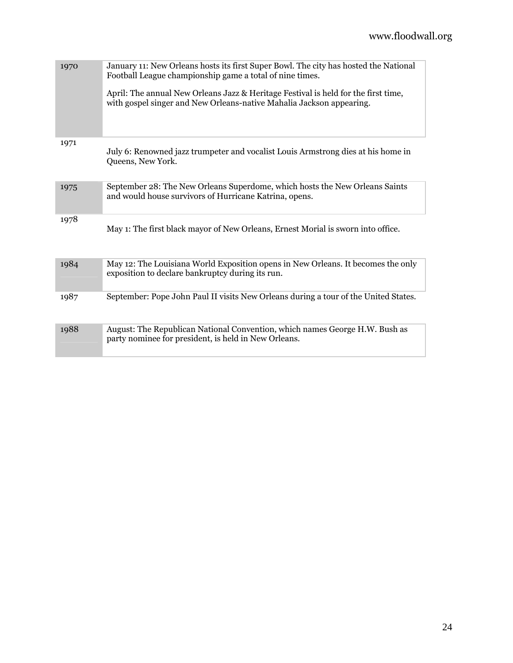| 1970 | January 11: New Orleans hosts its first Super Bowl. The city has hosted the National<br>Football League championship game a total of nine times.<br>April: The annual New Orleans Jazz & Heritage Festival is held for the first time,<br>with gospel singer and New Orleans-native Mahalia Jackson appearing. |
|------|----------------------------------------------------------------------------------------------------------------------------------------------------------------------------------------------------------------------------------------------------------------------------------------------------------------|
| 1971 | July 6: Renowned jazz trumpeter and vocalist Louis Armstrong dies at his home in<br>Queens, New York.                                                                                                                                                                                                          |
| 1975 | September 28: The New Orleans Superdome, which hosts the New Orleans Saints<br>and would house survivors of Hurricane Katrina, opens.                                                                                                                                                                          |
| 1978 | May 1: The first black mayor of New Orleans, Ernest Morial is sworn into office.                                                                                                                                                                                                                               |
| 1984 | May 12: The Louisiana World Exposition opens in New Orleans. It becomes the only<br>exposition to declare bankruptcy during its run.                                                                                                                                                                           |
| 1987 | September: Pope John Paul II visits New Orleans during a tour of the United States.                                                                                                                                                                                                                            |
| 1988 | August: The Republican National Convention, which names George H.W. Bush as<br>party nominee for president, is held in New Orleans.                                                                                                                                                                            |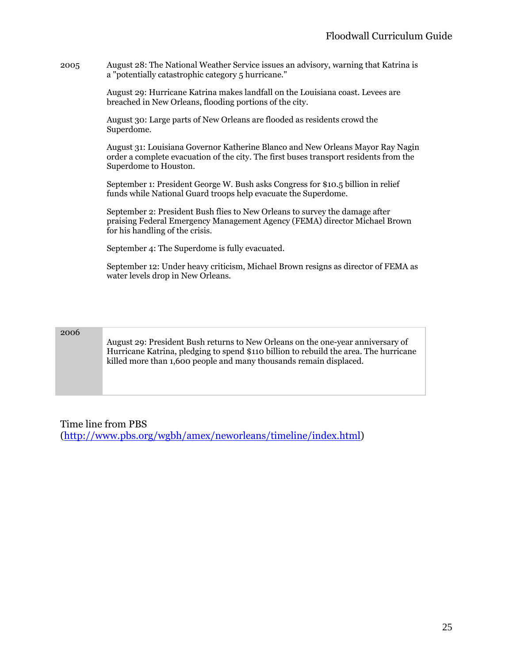2005 August 28: The National Weather Service issues an advisory, warning that Katrina is a "potentially catastrophic category 5 hurricane."

> August 29: Hurricane Katrina makes landfall on the Louisiana coast. Levees are breached in New Orleans, flooding portions of the city.

August 30: Large parts of New Orleans are flooded as residents crowd the Superdome.

August 31: Louisiana Governor Katherine Blanco and New Orleans Mayor Ray Nagin order a complete evacuation of the city. The first buses transport residents from the Superdome to Houston.

September 1: President George W. Bush asks Congress for \$10.5 billion in relief funds while National Guard troops help evacuate the Superdome.

September 2: President Bush flies to New Orleans to survey the damage after praising Federal Emergency Management Agency (FEMA) director Michael Brown for his handling of the crisis.

September 4: The Superdome is fully evacuated.

September 12: Under heavy criticism, Michael Brown resigns as director of FEMA as water levels drop in New Orleans.

#### 2006

August 29: President Bush returns to New Orleans on the one-year anniversary of Hurricane Katrina, pledging to spend \$110 billion to rebuild the area. The hurricane killed more than 1,600 people and many thousands remain displaced.

### Time line from PBS

[\(http://www.pbs.org/wgbh/amex/neworleans/timeline/index.html](http://www.pbs.org/wgbh/amex/neworleans/timeline/index.html))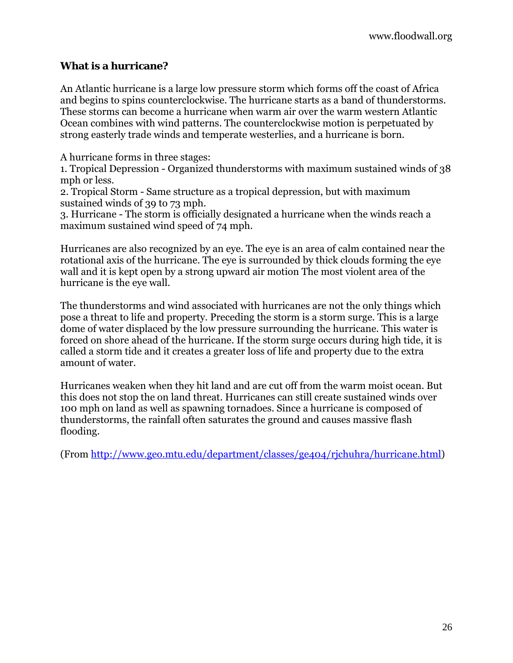## **What is a hurricane?**

An Atlantic hurricane is a large low pressure storm which forms off the coast of Africa and begins to spins counterclockwise. The hurricane starts as a band of thunderstorms. These storms can become a hurricane when warm air over the warm western Atlantic Ocean combines with wind patterns. The counterclockwise motion is perpetuated by strong easterly trade winds and temperate westerlies, and a hurricane is born.

A hurricane forms in three stages:

1. Tropical Depression - Organized thunderstorms with maximum sustained winds of 38 mph or less.

2. Tropical Storm - Same structure as a tropical depression, but with maximum sustained winds of 39 to 73 mph.

3. Hurricane - The storm is officially designated a hurricane when the winds reach a maximum sustained wind speed of 74 mph.

Hurricanes are also recognized by an eye. The eye is an area of calm contained near the rotational axis of the hurricane. The eye is surrounded by thick clouds forming the eye wall and it is kept open by a strong upward air motion The most violent area of the hurricane is the eye wall.

The thunderstorms and wind associated with hurricanes are not the only things which pose a threat to life and property. Preceding the storm is a storm surge. This is a large dome of water displaced by the low pressure surrounding the hurricane. This water is forced on shore ahead of the hurricane. If the storm surge occurs during high tide, it is called a storm tide and it creates a greater loss of life and property due to the extra amount of water.

Hurricanes weaken when they hit land and are cut off from the warm moist ocean. But this does not stop the on land threat. Hurricanes can still create sustained winds over 100 mph on land as well as spawning tornadoes. Since a hurricane is composed of thunderstorms, the rainfall often saturates the ground and causes massive flash flooding.

(From [http://www.geo.mtu.edu/department/classes/ge404/rjchuhra/hurricane.html\)](http://www.geo.mtu.edu/department/classes/ge404/rjchuhra/hurricane.html)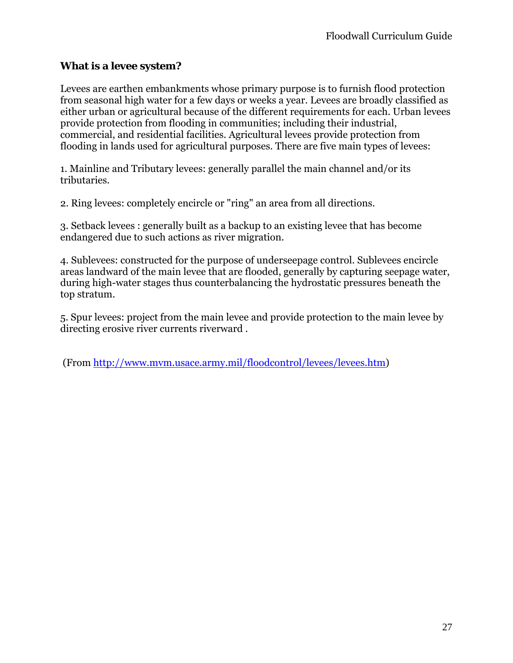## **What is a levee system?**

Levees are earthen embankments whose primary purpose is to furnish flood protection from seasonal high water for a few days or weeks a year. Levees are broadly classified as either urban or agricultural because of the different requirements for each. Urban levees provide protection from flooding in communities; including their industrial, commercial, and residential facilities. Agricultural levees provide protection from flooding in lands used for agricultural purposes. There are five main types of levees:

1. Mainline and Tributary levees: generally parallel the main channel and/or its tributaries.

2. Ring levees: completely encircle or "ring" an area from all directions.

3. Setback levees : generally built as a backup to an existing levee that has become endangered due to such actions as river migration.

4. Sublevees: constructed for the purpose of underseepage control. Sublevees encircle areas landward of the main levee that are flooded, generally by capturing seepage water, during high-water stages thus counterbalancing the hydrostatic pressures beneath the top stratum.

5. Spur levees: project from the main levee and provide protection to the main levee by directing erosive river currents riverward .

(From<http://www.mvm.usace.army.mil/floodcontrol/levees/levees.htm>)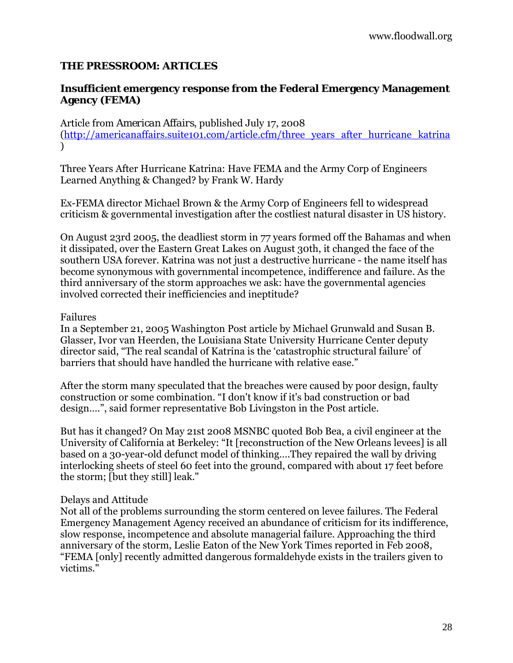## **THE PRESSROOM: ARTICLES**

## **Insufficient emergency response from the Federal Emergency Management Agency (FEMA)**

Article from *American Affairs*, published July 17, 2008 [\(http://americanaffairs.suite101.com/article.cfm/three\\_years\\_after\\_hurricane\\_katrina](http://americanaffairs.suite101.com/article.cfm/three_years_after_hurricane_katrina) )

Three Years After Hurricane Katrina: Have FEMA and the Army Corp of Engineers Learned Anything & Changed? by Frank W. Hardy

Ex-FEMA director Michael Brown & the Army Corp of Engineers fell to widespread criticism & governmental investigation after the costliest natural disaster in US history.

On August 23rd 2005, the deadliest storm in 77 years formed off the Bahamas and when it dissipated, over the Eastern Great Lakes on August 30th, it changed the face of the southern USA forever. Katrina was not just a destructive hurricane - the name itself has become synonymous with governmental incompetence, indifference and failure. As the third anniversary of the storm approaches we ask: have the governmental agencies involved corrected their inefficiencies and ineptitude?

### Failures

In a September 21, 2005 Washington Post article by Michael Grunwald and Susan B. Glasser, Ivor van Heerden, the Louisiana State University Hurricane Center deputy director said, "The real scandal of Katrina is the 'catastrophic structural failure' of barriers that should have handled the hurricane with relative ease."

After the storm many speculated that the breaches were caused by poor design, faulty construction or some combination. "I don't know if it's bad construction or bad design….", said former representative Bob Livingston in the Post article.

But has it changed? On May 21st 2008 MSNBC quoted Bob Bea, a civil engineer at the University of California at Berkeley: "It [reconstruction of the New Orleans levees] is all based on a 30-year-old defunct model of thinking….They repaired the wall by driving interlocking sheets of steel 60 feet into the ground, compared with about 17 feet before the storm; [but they still] leak."

## Delays and Attitude

Not all of the problems surrounding the storm centered on levee failures. The Federal Emergency Management Agency received an abundance of criticism for its indifference, slow response, incompetence and absolute managerial failure. Approaching the third anniversary of the storm, Leslie Eaton of the New York Times reported in Feb 2008, "FEMA [only] recently admitted dangerous formaldehyde exists in the trailers given to victims."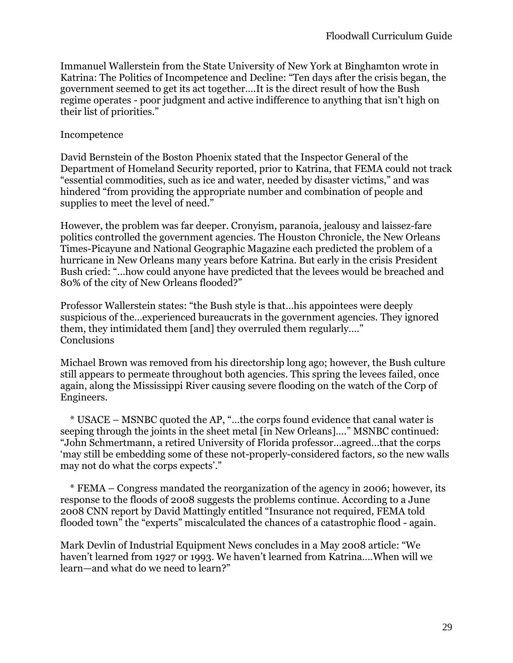Immanuel Wallerstein from the State University of New York at Binghamton wrote in Katrina: The Politics of Incompetence and Decline: "Ten days after the crisis began, the government seemed to get its act together….It is the direct result of how the Bush regime operates - poor judgment and active indifference to anything that isn't high on their list of priorities."

### Incompetence

David Bernstein of the Boston Phoenix stated that the Inspector General of the Department of Homeland Security reported, prior to Katrina, that FEMA could not track "essential commodities, such as ice and water, needed by disaster victims," and was hindered "from providing the appropriate number and combination of people and supplies to meet the level of need."

However, the problem was far deeper. Cronyism, paranoia, jealousy and laissez-fare politics controlled the government agencies. The Houston Chronicle, the New Orleans Times-Picayune and National Geographic Magazine each predicted the problem of a hurricane in New Orleans many years before Katrina. But early in the crisis President Bush cried: "…how could anyone have predicted that the levees would be breached and 80% of the city of New Orleans flooded?"

Professor Wallerstein states: "the Bush style is that…his appointees were deeply suspicious of the…experienced bureaucrats in the government agencies. They ignored them, they intimidated them [and] they overruled them regularly…." **Conclusions** 

Michael Brown was removed from his directorship long ago; however, the Bush culture still appears to permeate throughout both agencies. This spring the levees failed, once again, along the Mississippi River causing severe flooding on the watch of the Corp of Engineers.

 \* USACE – MSNBC quoted the AP, "…the corps found evidence that canal water is seeping through the joints in the sheet metal [in New Orleans]…." MSNBC continued: "John Schmertmann, a retired University of Florida professor…agreed…that the corps 'may still be embedding some of these not-properly-considered factors, so the new walls may not do what the corps expects'."

 \* FEMA – Congress mandated the reorganization of the agency in 2006; however, its response to the floods of 2008 suggests the problems continue. According to a June 2008 CNN report by David Mattingly entitled "Insurance not required, FEMA told flooded town" the "experts" miscalculated the chances of a catastrophic flood - again.

Mark Devlin of Industrial Equipment News concludes in a May 2008 article: "We haven't learned from 1927 or 1993. We haven't learned from Katrina….When will we learn—and what do we need to learn?"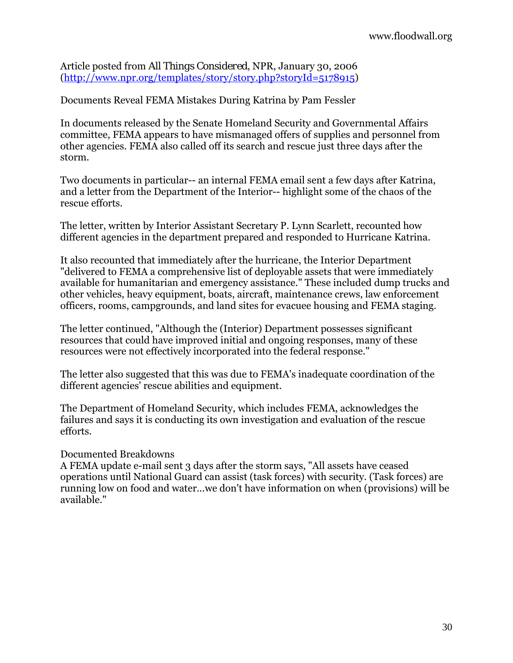Article posted from *All Things Considered*, NPR, January 30, 2006 [\(http://www.npr.org/templates/story/story.php?storyId=5178915\)](http://www.npr.org/templates/story/story.php?storyId=5178915)

Documents Reveal FEMA Mistakes During Katrina by Pam Fessler

In documents released by the Senate Homeland Security and Governmental Affairs committee, FEMA appears to have mismanaged offers of supplies and personnel from other agencies. FEMA also called off its search and rescue just three days after the storm.

Two documents in particular-- an internal FEMA email sent a few days after Katrina, and a letter from the Department of the Interior-- highlight some of the chaos of the rescue efforts.

The letter, written by Interior Assistant Secretary P. Lynn Scarlett, recounted how different agencies in the department prepared and responded to Hurricane Katrina.

It also recounted that immediately after the hurricane, the Interior Department "delivered to FEMA a comprehensive list of deployable assets that were immediately available for humanitarian and emergency assistance." These included dump trucks and other vehicles, heavy equipment, boats, aircraft, maintenance crews, law enforcement officers, rooms, campgrounds, and land sites for evacuee housing and FEMA staging.

The letter continued, "Although the (Interior) Department possesses significant resources that could have improved initial and ongoing responses, many of these resources were not effectively incorporated into the federal response."

The letter also suggested that this was due to FEMA's inadequate coordination of the different agencies' rescue abilities and equipment.

The Department of Homeland Security, which includes FEMA, acknowledges the failures and says it is conducting its own investigation and evaluation of the rescue efforts.

### Documented Breakdowns

A FEMA update e-mail sent 3 days after the storm says, "All assets have ceased operations until National Guard can assist (task forces) with security. (Task forces) are running low on food and water...we don't have information on when (provisions) will be available."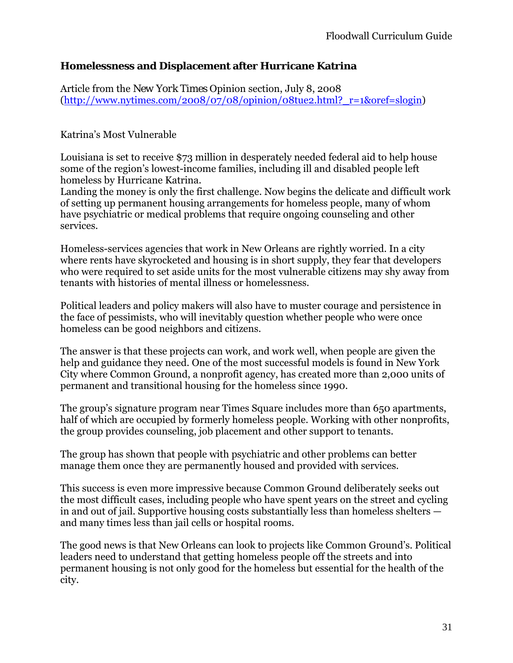## **Homelessness and Displacement after Hurricane Katrina**

Article from the *New York Times* Opinion section, July 8, 2008  $(\text{http://www.nytimes.com/2008/07/08/opinion/08tue2.html? r=1&oref=slogin)$ 

### Katrina's Most Vulnerable

Louisiana is set to receive \$73 million in desperately needed federal aid to help house some of the region's lowest-income families, including ill and disabled people left homeless by Hurricane Katrina.

Landing the money is only the first challenge. Now begins the delicate and difficult work of setting up permanent housing arrangements for homeless people, many of whom have psychiatric or medical problems that require ongoing counseling and other services.

Homeless-services agencies that work in New Orleans are rightly worried. In a city where rents have skyrocketed and housing is in short supply, they fear that developers who were required to set aside units for the most vulnerable citizens may shy away from tenants with histories of mental illness or homelessness.

Political leaders and policy makers will also have to muster courage and persistence in the face of pessimists, who will inevitably question whether people who were once homeless can be good neighbors and citizens.

The answer is that these projects can work, and work well, when people are given the help and guidance they need. One of the most successful models is found in New York City where Common Ground, a nonprofit agency, has created more than 2,000 units of permanent and transitional housing for the homeless since 1990.

The group's signature program near Times Square includes more than 650 apartments, half of which are occupied by formerly homeless people. Working with other nonprofits, the group provides counseling, job placement and other support to tenants.

The group has shown that people with psychiatric and other problems can better manage them once they are permanently housed and provided with services.

This success is even more impressive because Common Ground deliberately seeks out the most difficult cases, including people who have spent years on the street and cycling in and out of jail. Supportive housing costs substantially less than homeless shelters and many times less than jail cells or hospital rooms.

The good news is that New Orleans can look to projects like Common Ground's. Political leaders need to understand that getting homeless people off the streets and into permanent housing is not only good for the homeless but essential for the health of the city.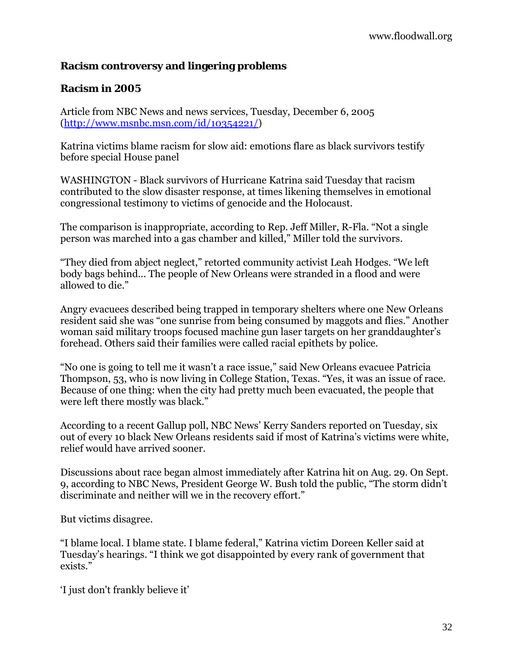## **Racism controversy and lingering problems**

### **Racism in 2005**

Article from NBC News and news services, Tuesday, December 6, 2005 [\(http://www.msnbc.msn.com/id/10354221/](http://www.msnbc.msn.com/id/10354221/))

Katrina victims blame racism for slow aid: emotions flare as black survivors testify before special House panel

WASHINGTON - Black survivors of Hurricane Katrina said Tuesday that racism contributed to the slow disaster response, at times likening themselves in emotional congressional testimony to victims of genocide and the Holocaust.

The comparison is inappropriate, according to Rep. Jeff Miller, R-Fla. "Not a single person was marched into a gas chamber and killed," Miller told the survivors.

"They died from abject neglect," retorted community activist Leah Hodges. "We left body bags behind... The people of New Orleans were stranded in a flood and were allowed to die."

Angry evacuees described being trapped in temporary shelters where one New Orleans resident said she was "one sunrise from being consumed by maggots and flies." Another woman said military troops focused machine gun laser targets on her granddaughter's forehead. Others said their families were called racial epithets by police.

"No one is going to tell me it wasn't a race issue," said New Orleans evacuee Patricia Thompson, 53, who is now living in College Station, Texas. "Yes, it was an issue of race. Because of one thing: when the city had pretty much been evacuated, the people that were left there mostly was black."

According to a recent Gallup poll, NBC News' Kerry Sanders reported on Tuesday, six out of every 10 black New Orleans residents said if most of Katrina's victims were white, relief would have arrived sooner.

Discussions about race began almost immediately after Katrina hit on Aug. 29. On Sept. 9, according to NBC News, President George W. Bush told the public, "The storm didn't discriminate and neither will we in the recovery effort."

But victims disagree.

"I blame local. I blame state. I blame federal," Katrina victim Doreen Keller said at Tuesday's hearings. "I think we got disappointed by every rank of government that exists."

'I just don't frankly believe it'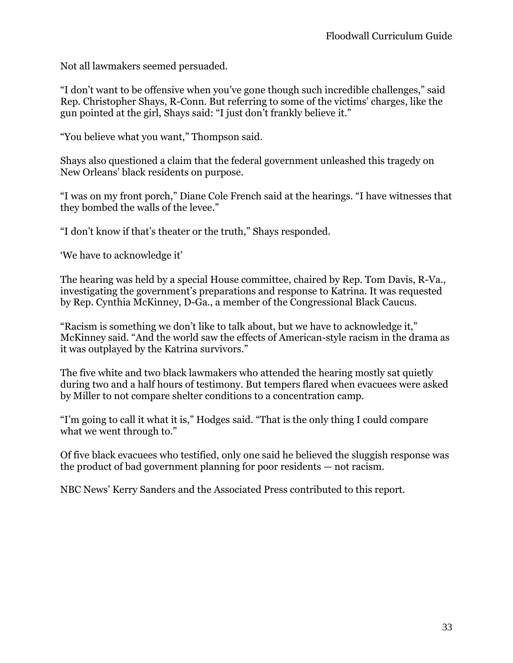Not all lawmakers seemed persuaded.

"I don't want to be offensive when you've gone though such incredible challenges," said Rep. Christopher Shays, R-Conn. But referring to some of the victims' charges, like the gun pointed at the girl, Shays said: "I just don't frankly believe it."

"You believe what you want," Thompson said.

Shays also questioned a claim that the federal government unleashed this tragedy on New Orleans' black residents on purpose.

"I was on my front porch," Diane Cole French said at the hearings. "I have witnesses that they bombed the walls of the levee."

"I don't know if that's theater or the truth," Shays responded.

'We have to acknowledge it'

The hearing was held by a special House committee, chaired by Rep. Tom Davis, R-Va., investigating the government's preparations and response to Katrina. It was requested by Rep. Cynthia McKinney, D-Ga., a member of the Congressional Black Caucus.

"Racism is something we don't like to talk about, but we have to acknowledge it," McKinney said. "And the world saw the effects of American-style racism in the drama as it was outplayed by the Katrina survivors."

The five white and two black lawmakers who attended the hearing mostly sat quietly during two and a half hours of testimony. But tempers flared when evacuees were asked by Miller to not compare shelter conditions to a concentration camp.

"I'm going to call it what it is," Hodges said. "That is the only thing I could compare what we went through to."

Of five black evacuees who testified, only one said he believed the sluggish response was the product of bad government planning for poor residents — not racism.

NBC News' Kerry Sanders and the Associated Press contributed to this report.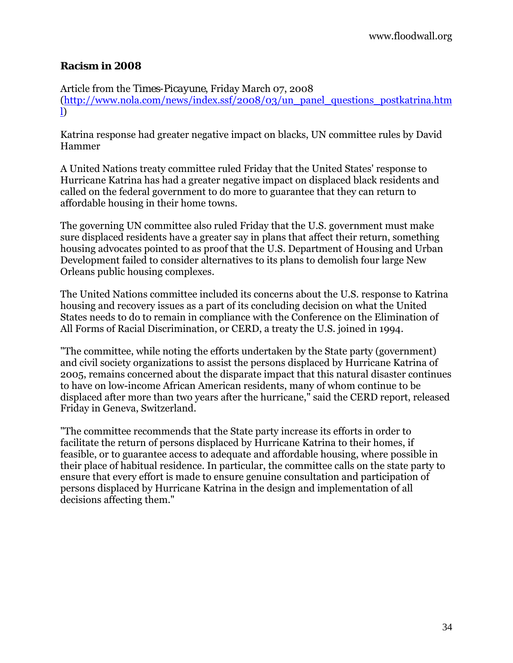## **Racism in 2008**

### Article from the *Times-Picayune*, Friday March 07, 2008 [\(http://www.nola.com/news/index.ssf/2008/03/un\\_panel\\_questions\\_postkatrina.htm](http://www.nola.com/news/index.ssf/2008/03/un_panel_questions_postkatrina.html)  $\mathbf{D}$

Katrina response had greater negative impact on blacks, UN committee rules by David Hammer

A United Nations treaty committee ruled Friday that the United States' response to Hurricane Katrina has had a greater negative impact on displaced black residents and called on the federal government to do more to guarantee that they can return to affordable housing in their home towns.

The governing UN committee also ruled Friday that the U.S. government must make sure displaced residents have a greater say in plans that affect their return, something housing advocates pointed to as proof that the U.S. Department of Housing and Urban Development failed to consider alternatives to its plans to demolish four large New Orleans public housing complexes.

The United Nations committee included its concerns about the U.S. response to Katrina housing and recovery issues as a part of its concluding decision on what the United States needs to do to remain in compliance with the Conference on the Elimination of All Forms of Racial Discrimination, or CERD, a treaty the U.S. joined in 1994.

"The committee, while noting the efforts undertaken by the State party (government) and civil society organizations to assist the persons displaced by Hurricane Katrina of 2005, remains concerned about the disparate impact that this natural disaster continues to have on low-income African American residents, many of whom continue to be displaced after more than two years after the hurricane," said the CERD report, released Friday in Geneva, Switzerland.

"The committee recommends that the State party increase its efforts in order to facilitate the return of persons displaced by Hurricane Katrina to their homes, if feasible, or to guarantee access to adequate and affordable housing, where possible in their place of habitual residence. In particular, the committee calls on the state party to ensure that every effort is made to ensure genuine consultation and participation of persons displaced by Hurricane Katrina in the design and implementation of all decisions affecting them."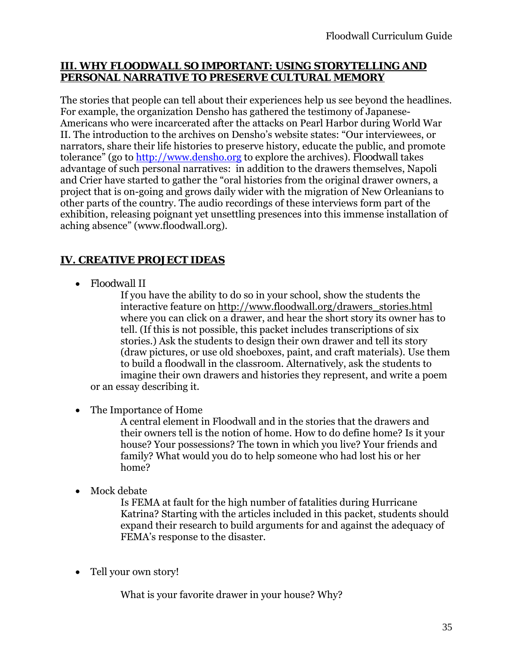## **III. WHY** *FLOODWALL* **SO IMPORTANT: USING STORYTELLING AND PERSONAL NARRATIVE TO PRESERVE CULTURAL MEMORY**

The stories that people can tell about their experiences help us see beyond the headlines. For example, the organization Densho has gathered the testimony of Japanese-Americans who were incarcerated after the attacks on Pearl Harbor during World War II. The introduction to the archives on Densho's website states: "Our interviewees, or narrators, share their life histories to preserve history, educate the public, and promote tolerance" (go to [http://www.densho.org](http://www.densho.org/) to explore the archives). *Floodwall* takes advantage of such personal narratives: in addition to the drawers themselves, Napoli and Crier have started to gather the "oral histories from the original drawer owners, a project that is on-going and grows daily wider with the migration of New Orleanians to other parts of the country. The audio recordings of these interviews form part of the exhibition, releasing poignant yet unsettling presences into this immense installation of aching absence" (www.floodwall.org).

## **IV. CREATIVE PROJECT IDEAS**

• *Floodwall II*

 If you have the ability to do so in your school, show the students the interactive feature on [http://www.floodwall.org/drawers\\_stories.html](http://www.floodwall.org/drawers_stories.html) where you can click on a drawer, and hear the short story its owner has to tell. (If this is not possible, this packet includes transcriptions of six stories.) Ask the students to design their own drawer and tell its story (draw pictures, or use old shoeboxes, paint, and craft materials). Use them to build a floodwall in the classroom. Alternatively, ask the students to imagine their own drawers and histories they represent, and write a poem or an essay describing it.

The Importance of Home

 A central element in Floodwall and in the stories that the drawers and their owners tell is the notion of home. How to do define home? Is it your house? Your possessions? The town in which you live? Your friends and family? What would you do to help someone who had lost his or her home?

• Mock debate

 Is FEMA at fault for the high number of fatalities during Hurricane Katrina? Starting with the articles included in this packet, students should expand their research to build arguments for and against the adequacy of FEMA's response to the disaster.

• Tell your own story!

What is your favorite drawer in your house? Why?